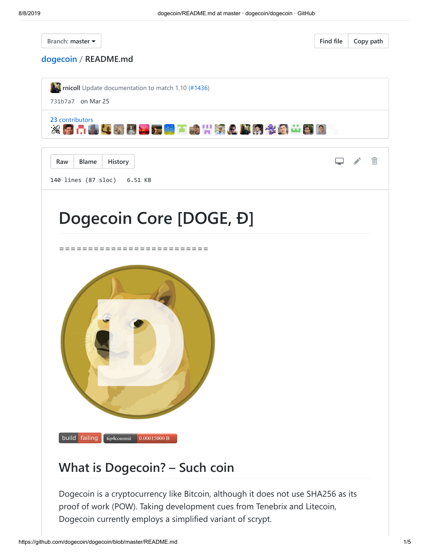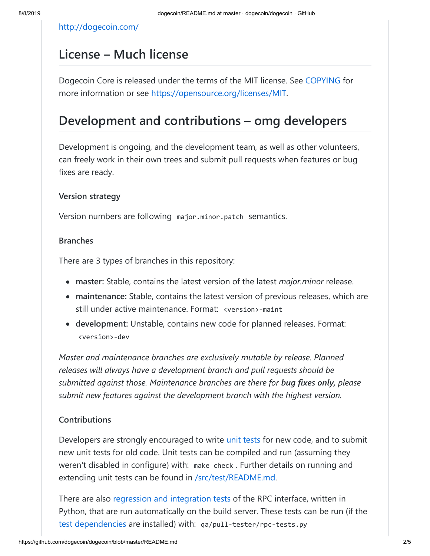<http://dogecoin.com/>

## **License – Much license**

Dogecoin Core is released under the terms of the MIT license. See [COPYING](https://github.com/dogecoin/dogecoin/blob/master/COPYING) for more information or see [https://opensource.org/licenses/MIT.](https://opensource.org/licenses/MIT)

## **Development and contributions – omg developers**

Development is ongoing, and the development team, as well as other volunteers, can freely work in their own trees and submit pull requests when features or bug fixes are ready.

### **Version strategy**

Version numbers are following major.minor.patch semantics.

#### **Branches**

There are 3 types of branches in this repository:

- **master:** Stable, contains the latest version of the latest *major.minor* release.
- **maintenance:** Stable, contains the latest version of previous releases, which are still under active maintenance. Format: <version>-maint
- **development:** Unstable, contains new code for planned releases. Format: <version>-dev

*Master and maintenance branches are exclusively mutable by release. Planned releases will always have a development branch and pull requests should be submitted against those. Maintenance branches are there for bug fixes only, please submit new features against the development branch with the highest version.*

#### **Contributions**

Developers are strongly encouraged to write [unit tests](https://github.com/dogecoin/dogecoin/blob/master/src/test/README.md) for new code, and to submit new unit tests for old code. Unit tests can be compiled and run (assuming they weren't disabled in configure) with: make check . Further details on running and extending unit tests can be found in [/src/test/README.md](https://github.com/dogecoin/dogecoin/blob/master/src/test/README.md).

There are also [regression and integration tests](https://github.com/dogecoin/dogecoin/blob/master/qa) of the RPC interface, written in Python, that are run automatically on the build server. These tests can be run (if the [test dependencies](https://github.com/dogecoin/dogecoin/blob/master/qa) are installed) with: qa/pull-tester/rpc-tests.py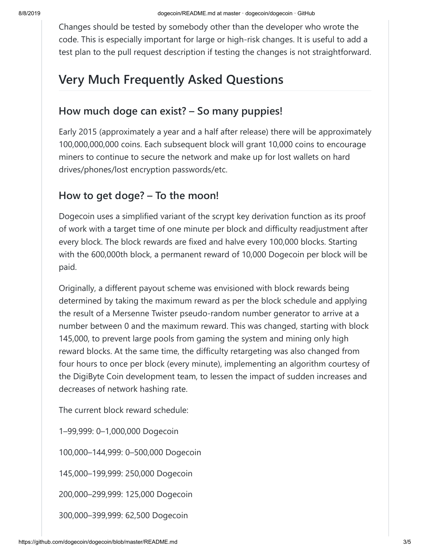Changes should be tested by somebody other than the developer who wrote the code. This is especially important for large or high-risk changes. It is useful to add a test plan to the pull request description if testing the changes is not straightforward.

# **Very Much Frequently Asked Questions**

## **How much doge can exist? – So many puppies!**

Early 2015 (approximately a year and a half after release) there will be approximately 100,000,000,000 coins. Each subsequent block will grant 10,000 coins to encourage miners to continue to secure the network and make up for lost wallets on hard drives/phones/lost encryption passwords/etc.

## **How to get doge? – To the moon!**

Dogecoin uses a simplified variant of the scrypt key derivation function as its proof of work with a target time of one minute per block and difficulty readjustment after every block. The block rewards are fixed and halve every 100,000 blocks. Starting with the 600,000th block, a permanent reward of 10,000 Dogecoin per block will be paid.

Originally, a different payout scheme was envisioned with block rewards being determined by taking the maximum reward as per the block schedule and applying the result of a Mersenne Twister pseudo-random number generator to arrive at a number between 0 and the maximum reward. This was changed, starting with block 145,000, to prevent large pools from gaming the system and mining only high reward blocks. At the same time, the difficulty retargeting was also changed from four hours to once per block (every minute), implementing an algorithm courtesy of the DigiByte Coin development team, to lessen the impact of sudden increases and decreases of network hashing rate.

The current block reward schedule:

1–99,999: 0–1,000,000 Dogecoin

100,000–144,999: 0–500,000 Dogecoin

145,000–199,999: 250,000 Dogecoin

200,000–299,999: 125,000 Dogecoin

300,000–399,999: 62,500 Dogecoin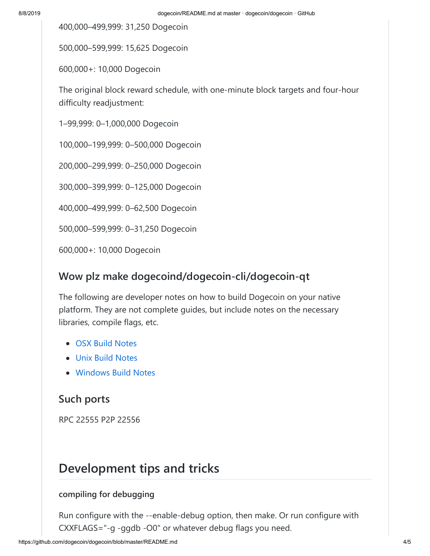400,000–499,999: 31,250 Dogecoin

500,000–599,999: 15,625 Dogecoin

600,000+: 10,000 Dogecoin

The original block reward schedule, with one-minute block targets and four-hour difficulty readjustment:

1–99,999: 0–1,000,000 Dogecoin

100,000–199,999: 0–500,000 Dogecoin

200,000–299,999: 0–250,000 Dogecoin

300,000–399,999: 0–125,000 Dogecoin

400,000–499,999: 0–62,500 Dogecoin

500,000–599,999: 0–31,250 Dogecoin

600,000+: 10,000 Dogecoin

## **Wow plz make dogecoind/dogecoin-cli/dogecoin-qt**

The following are developer notes on how to build Dogecoin on your native platform. They are not complete guides, but include notes on the necessary libraries, compile flags, etc.

- [OSX Build Notes](https://github.com/dogecoin/dogecoin/blob/master/doc/build-osx.md)
- [Unix Build Notes](https://github.com/dogecoin/dogecoin/blob/master/doc/build-unix.md)
- [Windows Build Notes](https://github.com/dogecoin/dogecoin/blob/master/doc/build-msw.md)

## **Such ports**

RPC 22555 P2P 22556

## **Development tips and tricks**

### **compiling for debugging**

Run configure with the --enable-debug option, then make. Or run configure with CXXFLAGS="-g -ggdb -O0" or whatever debug flags you need.